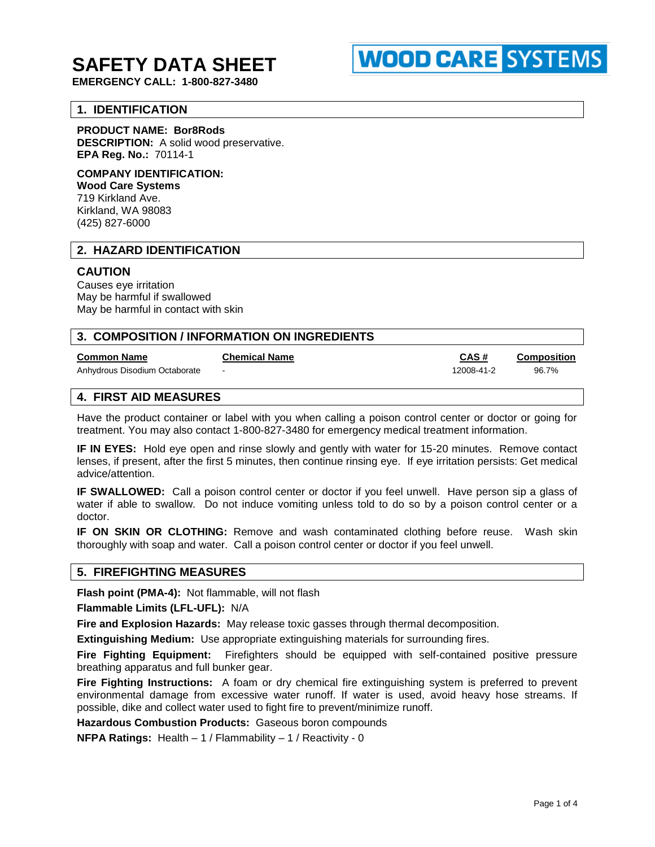# **SAFETY DATA SHEET**

**EMERGENCY CALL: 1-800-827-3480**

# **1. IDENTIFICATION**

#### **PRODUCT NAME: Bor8Rods**

**DESCRIPTION:** A solid wood preservative. **EPA Reg. No.:** 70114-1

## **COMPANY IDENTIFICATION:**

**Wood Care Systems** 719 Kirkland Ave. Kirkland, WA 98083 (425) 827-6000

#### **2. HAZARD IDENTIFICATION**

#### **CAUTION**

Causes eye irritation May be harmful if swallowed May be harmful in contact with skin

| 3. COMPOSITION / INFORMATION ON INGREDIENTS |                      |            |                    |
|---------------------------------------------|----------------------|------------|--------------------|
| <b>Common Name</b>                          | <b>Chemical Name</b> | CAS#       | <b>Composition</b> |
| Anhydrous Disodium Octaborate               |                      | 12008-41-2 | 96.7%              |
| <b>4. FIRST AID MEASURES</b>                |                      |            |                    |

Have the product container or label with you when calling a poison control center or doctor or going for treatment. You may also contact 1-800-827-3480 for emergency medical treatment information.

**IF IN EYES:** Hold eye open and rinse slowly and gently with water for 15-20 minutes. Remove contact lenses, if present, after the first 5 minutes, then continue rinsing eye. If eye irritation persists: Get medical advice/attention.

**IF SWALLOWED:** Call a poison control center or doctor if you feel unwell. Have person sip a glass of water if able to swallow. Do not induce vomiting unless told to do so by a poison control center or a doctor.

**IF ON SKIN OR CLOTHING:** Remove and wash contaminated clothing before reuse. Wash skin thoroughly with soap and water. Call a poison control center or doctor if you feel unwell.

#### **5. FIREFIGHTING MEASURES**

**Flash point (PMA-4):** Not flammable, will not flash

**Flammable Limits (LFL-UFL):** N/A

**Fire and Explosion Hazards:** May release toxic gasses through thermal decomposition.

**Extinguishing Medium:** Use appropriate extinguishing materials for surrounding fires.

**Fire Fighting Equipment:** Firefighters should be equipped with self-contained positive pressure breathing apparatus and full bunker gear.

**Fire Fighting Instructions:** A foam or dry chemical fire extinguishing system is preferred to prevent environmental damage from excessive water runoff. If water is used, avoid heavy hose streams. If possible, dike and collect water used to fight fire to prevent/minimize runoff.

**Hazardous Combustion Products:** Gaseous boron compounds

**NFPA Ratings:** Health – 1 / Flammability – 1 / Reactivity - 0

**WOOD CARE SYSTEMS**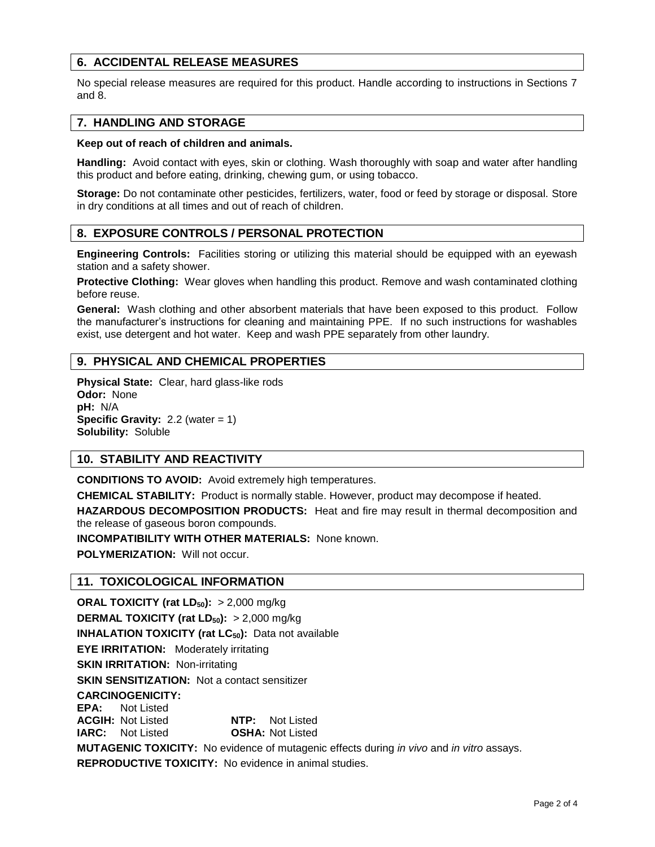# **6. ACCIDENTAL RELEASE MEASURES**

No special release measures are required for this product. Handle according to instructions in Sections 7 and 8.

## **7. HANDLING AND STORAGE**

#### **Keep out of reach of children and animals.**

**Handling:** Avoid contact with eyes, skin or clothing. Wash thoroughly with soap and water after handling this product and before eating, drinking, chewing gum, or using tobacco.

**Storage:** Do not contaminate other pesticides, fertilizers, water, food or feed by storage or disposal. Store in dry conditions at all times and out of reach of children.

# **8. EXPOSURE CONTROLS / PERSONAL PROTECTION**

**Engineering Controls:** Facilities storing or utilizing this material should be equipped with an eyewash station and a safety shower.

**Protective Clothing:** Wear gloves when handling this product. Remove and wash contaminated clothing before reuse.

**General:** Wash clothing and other absorbent materials that have been exposed to this product. Follow the manufacturer's instructions for cleaning and maintaining PPE. If no such instructions for washables exist, use detergent and hot water. Keep and wash PPE separately from other laundry.

# **9. PHYSICAL AND CHEMICAL PROPERTIES**

**Physical State:** Clear, hard glass-like rods **Odor:** None **pH:** N/A **Specific Gravity:** 2.2 (water = 1) **Solubility:** Soluble

# **10. STABILITY AND REACTIVITY**

**CONDITIONS TO AVOID:** Avoid extremely high temperatures.

**CHEMICAL STABILITY:** Product is normally stable. However, product may decompose if heated.

**HAZARDOUS DECOMPOSITION PRODUCTS:** Heat and fire may result in thermal decomposition and the release of gaseous boron compounds.

**INCOMPATIBILITY WITH OTHER MATERIALS:** None known.

**POLYMERIZATION:** Will not occur.

#### **11. TOXICOLOGICAL INFORMATION**

**ORAL TOXICITY (rat LD50):** > 2,000 mg/kg **DERMAL TOXICITY (rat LD50):** > 2,000 mg/kg **INHALATION TOXICITY (rat LC<sub>50</sub>):** Data not available **EYE IRRITATION:** Moderately irritating **SKIN IRRITATION: Non-irritating SKIN SENSITIZATION:** Not a contact sensitizer **CARCINOGENICITY: EPA:** Not Listed **ACGIH:** Not Listed **NTP:** Not Listed **IARC:** Not Listed **OSHA:** Not Listed **MUTAGENIC TOXICITY:** No evidence of mutagenic effects during *in vivo* and *in vitro* assays. **REPRODUCTIVE TOXICITY:** No evidence in animal studies.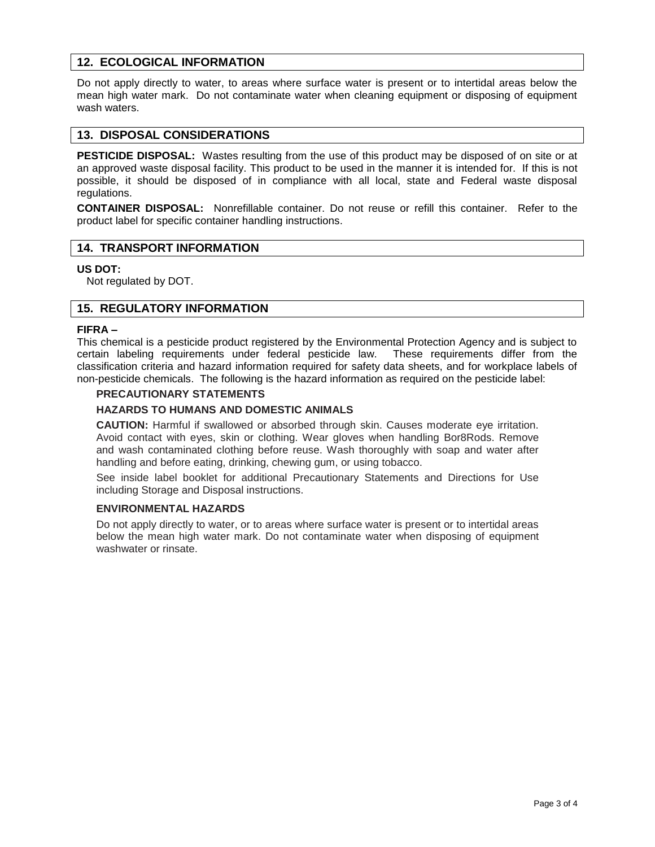# **12. ECOLOGICAL INFORMATION**

Do not apply directly to water, to areas where surface water is present or to intertidal areas below the mean high water mark. Do not contaminate water when cleaning equipment or disposing of equipment wash waters.

## **13. DISPOSAL CONSIDERATIONS**

**PESTICIDE DISPOSAL:** Wastes resulting from the use of this product may be disposed of on site or at an approved waste disposal facility. This product to be used in the manner it is intended for. If this is not possible, it should be disposed of in compliance with all local, state and Federal waste disposal regulations.

**CONTAINER DISPOSAL:** Nonrefillable container. Do not reuse or refill this container. Refer to the product label for specific container handling instructions.

# **14. TRANSPORT INFORMATION**

#### **US DOT:**

Not regulated by DOT.

# **15. REGULATORY INFORMATION**

#### **FIFRA –**

This chemical is a pesticide product registered by the Environmental Protection Agency and is subject to certain labeling requirements under federal pesticide law. These requirements differ from the classification criteria and hazard information required for safety data sheets, and for workplace labels of non-pesticide chemicals. The following is the hazard information as required on the pesticide label:

## **PRECAUTIONARY STATEMENTS**

#### **HAZARDS TO HUMANS AND DOMESTIC ANIMALS**

**CAUTION:** Harmful if swallowed or absorbed through skin. Causes moderate eye irritation. Avoid contact with eyes, skin or clothing. Wear gloves when handling Bor8Rods. Remove and wash contaminated clothing before reuse. Wash thoroughly with soap and water after handling and before eating, drinking, chewing gum, or using tobacco.

See inside label booklet for additional Precautionary Statements and Directions for Use including Storage and Disposal instructions.

#### **ENVIRONMENTAL HAZARDS**

Do not apply directly to water, or to areas where surface water is present or to intertidal areas below the mean high water mark. Do not contaminate water when disposing of equipment washwater or rinsate.